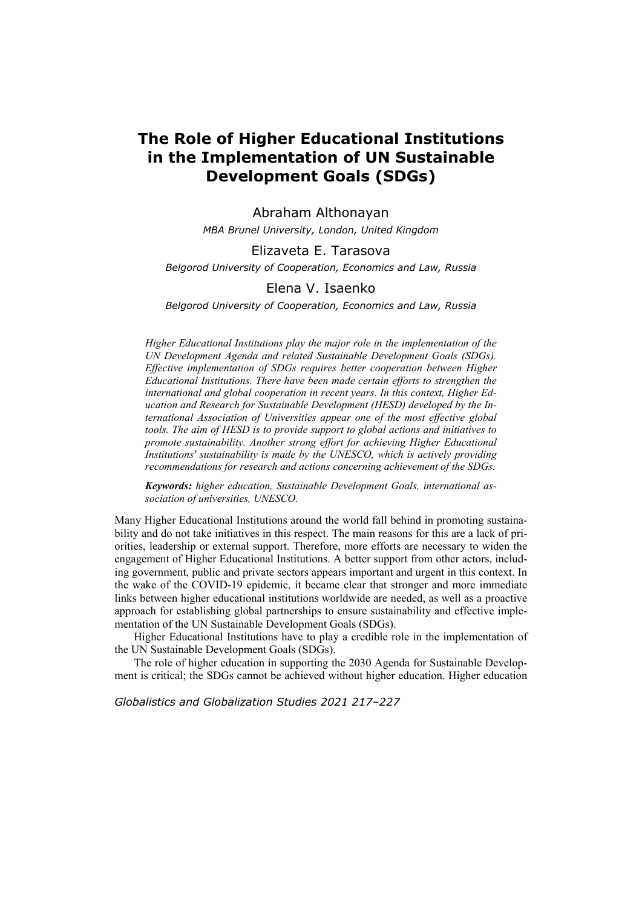# **The Role of Higher Educational Institutions in the Implementation of UN Sustainable Development Goals (SDGs)**

Abraham Althonayan *MBA Brunel University, London, United Kingdom* 

### Elizaveta E. Tarasova

*Belgorod University of Cooperation, Economics and Law, Russia* 

## Elena V. Isaenko

*Belgorod University of Cooperation, Economics and Law, Russia* 

*Higher Educational Institutions play the major role in the implementation of the UN Development Agenda and related Sustainable Development Goals (SDGs). Effective implementation of SDGs requires better cooperation between Higher Educational Institutions. There have been made certain efforts to strengthen the international and global cooperation in recent years. In this context, Higher Education and Research for Sustainable Development (HESD) developed by the International Association of Universities appear one of the most effective global tools. The aim of HESD is to provide support to global actions and initiatives to promote sustainability. Another strong effort for achieving Higher Educational Institutions' sustainability is made by the UNESCO, which is actively providing recommendations for research and actions concerning achievement of the SDGs.* 

*Keywords: higher education, Sustainable Development Goals, international association of universities, UNESCO.* 

Many Higher Educational Institutions around the world fall behind in promoting sustainability and do not take initiatives in this respect. The main reasons for this are a lack of priorities, leadership or external support. Therefore, more efforts are necessary to widen the engagement of Higher Educational Institutions. A better support from other actors, including government, public and private sectors appears important and urgent in this context. In the wake of the COVID-19 epidemic, it became clear that stronger and more immediate links between higher educational institutions worldwide are needed, as well as a proactive approach for establishing global partnerships to ensure sustainability and effective implementation of the UN Sustainable Development Goals (SDGs).

Higher Educational Institutions have to play a credible role in the implementation of the UN Sustainable Development Goals (SDGs).

The role of higher education in supporting the 2030 Agenda for Sustainable Development is critical; the SDGs cannot be achieved without higher education. Higher education

*Globalistics and Globalization Studies 2021 217–227*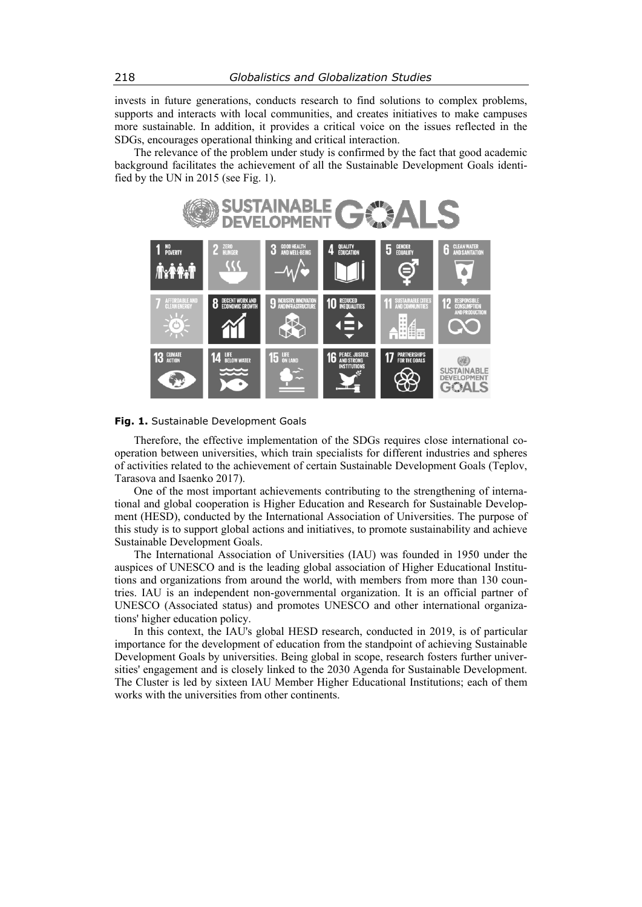invests in future generations, conducts research to find solutions to complex problems, supports and interacts with local communities, and creates initiatives to make campuses more sustainable. In addition, it provides a critical voice on the issues reflected in the SDGs, encourages operational thinking and critical interaction.

The relevance of the problem under study is confirmed by the fact that good academic background facilitates the achievement of all the Sustainable Development Goals identified by the UN in 2015 (see Fig. 1).



**Fig. 1.** Sustainable Development Goals

Therefore, the effective implementation of the SDGs requires close international cooperation between universities, which train specialists for different industries and spheres of activities related to the achievement of certain Sustainable Development Goals (Teplov, Tarasova and Isaenko 2017).

One of the most important achievements contributing to the strengthening of international and global cooperation is Higher Education and Research for Sustainable Development (HESD), conducted by the International Association of Universities. The purpose of this study is to support global actions and initiatives, to promote sustainability and achieve Sustainable Development Goals.

The International Association of Universities (IAU) was founded in 1950 under the auspices of UNESCO and is the leading global association of Higher Educational Institutions and organizations from around the world, with members from more than 130 countries. IAU is an independent non-governmental organization. It is an official partner of UNESCO (Associated status) and promotes UNESCO and other international organizations' higher education policy.

In this context, the IAU's global HESD research, conducted in 2019, is of particular importance for the development of education from the standpoint of achieving Sustainable Development Goals by universities. Being global in scope, research fosters further universities' engagement and is closely linked to the 2030 Agenda for Sustainable Development. The Cluster is led by sixteen IAU Member Higher Educational Institutions; each of them works with the universities from other continents.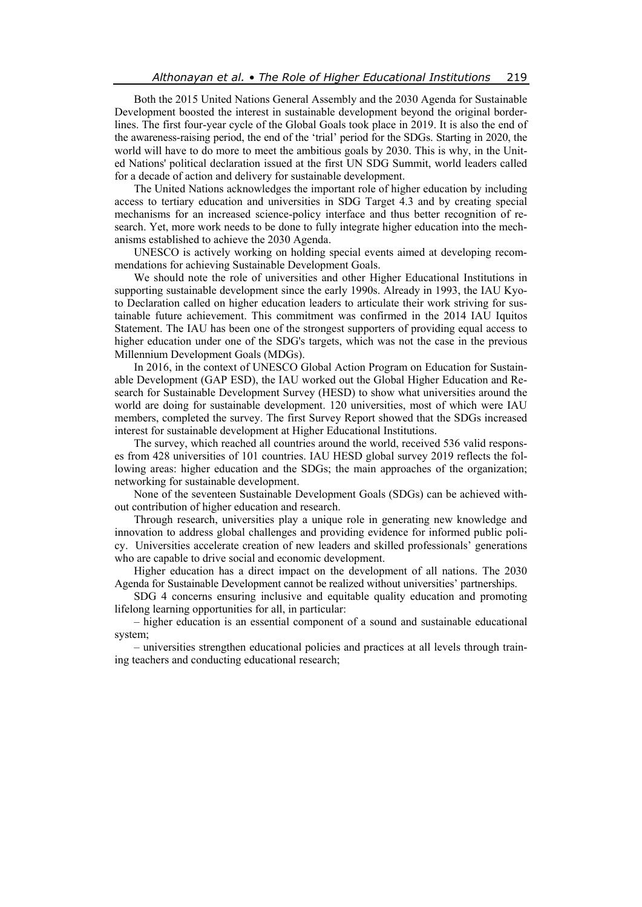Both the 2015 United Nations General Assembly and the 2030 Agenda for Sustainable Development boosted the interest in sustainable development beyond the original borderlines. The first four-year cycle of the Global Goals took place in 2019. It is also the end of the awareness-raising period, the end of the 'trial' period for the SDGs. Starting in 2020, the world will have to do more to meet the ambitious goals by 2030. This is why, in the United Nations' political declaration issued at the first UN SDG Summit, world leaders called for a decade of action and delivery for sustainable development.

The United Nations acknowledges the important role of higher education by including access to tertiary education and universities in SDG Target 4.3 and by creating special mechanisms for an increased science-policy interface and thus better recognition of research. Yet, more work needs to be done to fully integrate higher education into the mechanisms established to achieve the 2030 Agenda.

UNESCO is actively working on holding special events aimed at developing recommendations for achieving Sustainable Development Goals.

We should note the role of universities and other Higher Educational Institutions in supporting sustainable development since the early 1990s. Already in 1993, the IAU Kyoto Declaration called on higher education leaders to articulate their work striving for sustainable future achievement. This commitment was confirmed in the 2014 IAU Iquitos Statement. The IAU has been one of the strongest supporters of providing equal access to higher education under one of the SDG's targets, which was not the case in the previous Millennium Development Goals (MDGs).

In 2016, in the context of UNESCO Global Action Program on Education for Sustainable Development (GAP ESD), the IAU worked out the Global Higher Education and Research for Sustainable Development Survey (HESD) to show what universities around the world are doing for sustainable development. 120 universities, most of which were IAU members, completed the survey. The first Survey Report showed that the SDGs increased interest for sustainable development at Higher Educational Institutions.

The survey, which reached all countries around the world, received 536 valid responses from 428 universities of 101 countries. IAU HESD global survey 2019 reflects the following areas: higher education and the SDGs; the main approaches of the organization; networking for sustainable development.

None of the seventeen Sustainable Development Goals (SDGs) can be achieved without contribution of higher education and research.

Through research, universities play a unique role in generating new knowledge and innovation to address global challenges and providing evidence for informed public policy. Universities accelerate creation of new leaders and skilled professionals' generations who are capable to drive social and economic development.

Higher education has a direct impact on the development of all nations. The 2030 Agenda for Sustainable Development cannot be realized without universities' partnerships.

SDG 4 concerns ensuring inclusive and equitable quality education and promoting lifelong learning opportunities for all, in particular:

– higher education is an essential component of a sound and sustainable educational system;

– universities strengthen educational policies and practices at all levels through training teachers and conducting educational research;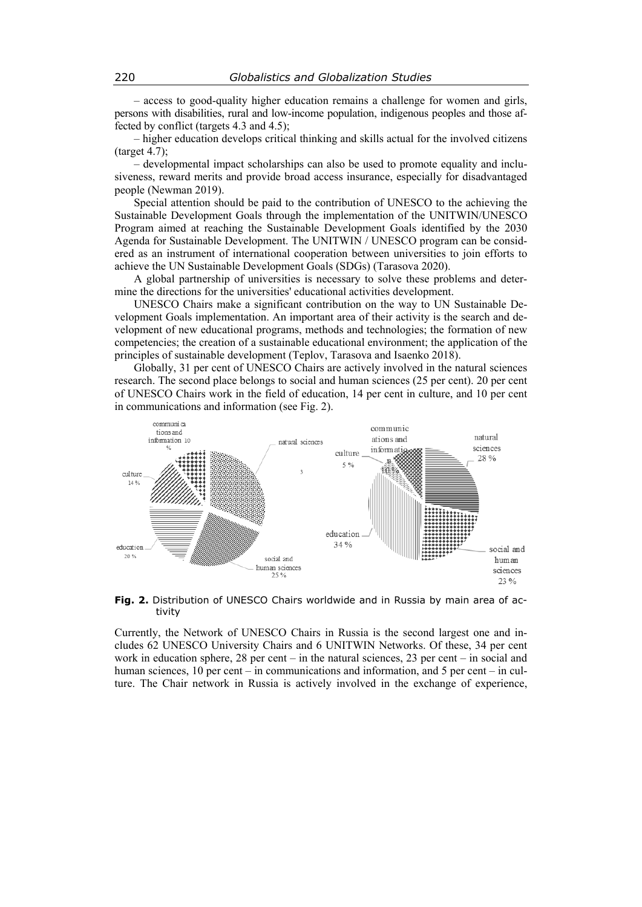– access to good-quality higher education remains a challenge for women and girls, persons with disabilities, rural and low-income population, indigenous peoples and those affected by conflict (targets 4.3 and 4.5);

– higher education develops critical thinking and skills actual for the involved citizens (target 4.7);

– developmental impact scholarships can also be used to promote equality and inclusiveness, reward merits and provide broad access insurance, especially for disadvantaged people (Newman 2019).

Special attention should be paid to the contribution of UNESCO to the achieving the Sustainable Development Goals through the implementation of the UNITWIN/UNESCO Program aimed at reaching the Sustainable Development Goals identified by the 2030 Agenda for Sustainable Development. The UNITWIN / UNESCO program can be considered as an instrument of international cooperation between universities to join efforts to achieve the UN Sustainable Development Goals (SDGs) (Tarasova 2020).

A global partnership of universities is necessary to solve these problems and determine the directions for the universities' educational activities development.

UNESCO Chairs make a significant contribution on the way to UN Sustainable Development Goals implementation. An important area of their activity is the search and development of new educational programs, methods and technologies; the formation of new competencies; the creation of a sustainable educational environment; the application of the principles of sustainable development (Teplov, Tarasova and Isaenko 2018).

Globally, 31 per cent of UNESCO Chairs are actively involved in the natural sciences research. The second place belongs to social and human sciences (25 per cent). 20 per cent of UNESCO Chairs work in the field of education, 14 per cent in culture, and 10 per cent in communications and information (see Fig. 2).



#### **Fig. 2.** Distribution of UNESCO Chairs worldwide and in Russia by main area of activity

Currently, the Network of UNESCO Chairs in Russia is the second largest one and includes 62 UNESCO University Chairs and 6 UNITWIN Networks. Of these, 34 per cent work in education sphere, 28 per cent – in the natural sciences, 23 per cent – in social and human sciences, 10 per cent – in communications and information, and 5 per cent – in culture. The Chair network in Russia is actively involved in the exchange of experience,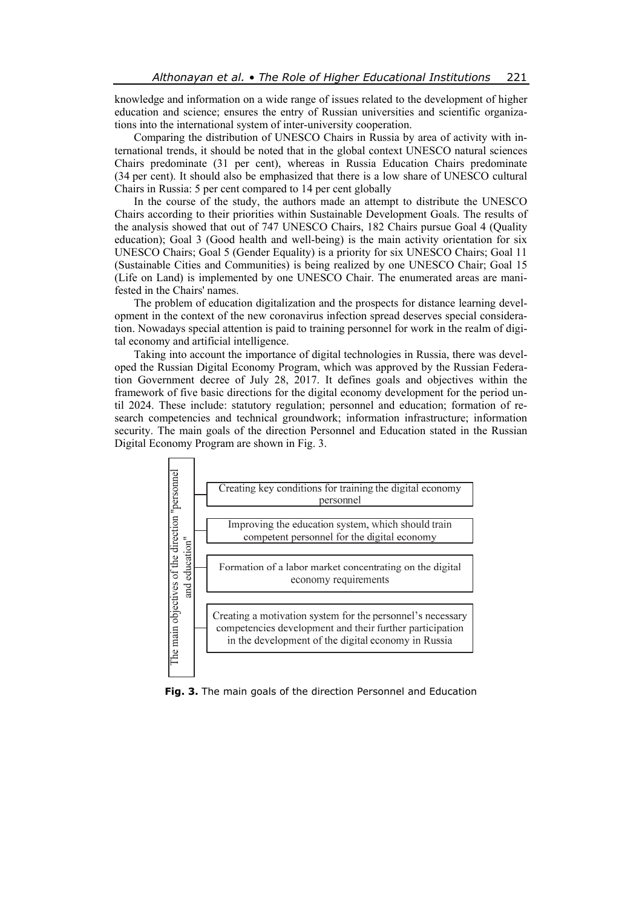knowledge and information on a wide range of issues related to the development of higher education and science; ensures the entry of Russian universities and scientific organizations into the international system of inter-university cooperation.

Comparing the distribution of UNESCO Chairs in Russia by area of activity with international trends, it should be noted that in the global context UNESCO natural sciences Chairs predominate (31 per cent), whereas in Russia Education Chairs predominate (34 per cent). It should also be emphasized that there is a low share of UNESCO cultural Chairs in Russia: 5 per cent compared to 14 per cent globally

In the course of the study, the authors made an attempt to distribute the UNESCO Chairs according to their priorities within Sustainable Development Goals. The results of the analysis showed that out of 747 UNESCO Chairs, 182 Chairs pursue Goal 4 (Quality education); Goal 3 (Good health and well-being) is the main activity orientation for six UNESCO Chairs; Goal 5 (Gender Equality) is a priority for six UNESCO Chairs; Goal 11 (Sustainable Cities and Communities) is being realized by one UNESCO Chair; Goal 15 (Life on Land) is implemented by one UNESCO Chair. The enumerated areas are manifested in the Chairs' names.

The problem of education digitalization and the prospects for distance learning development in the context of the new coronavirus infection spread deserves special consideration. Nowadays special attention is paid to training personnel for work in the realm of digital economy and artificial intelligence.

Taking into account the importance of digital technologies in Russia, there was developed the Russian Digital Economy Program, which was approved by the Russian Federation Government decree of July 28, 2017. It defines goals and objectives within the framework of five basic directions for the digital economy development for the period until 2024. These include: statutory regulation; personnel and education; formation of research competencies and technical groundwork; information infrastructure; information security. The main goals of the direction Personnel and Education stated in the Russian Digital Economy Program are shown in Fig. 3.



**Fig. 3.** The main goals of the direction Personnel and Education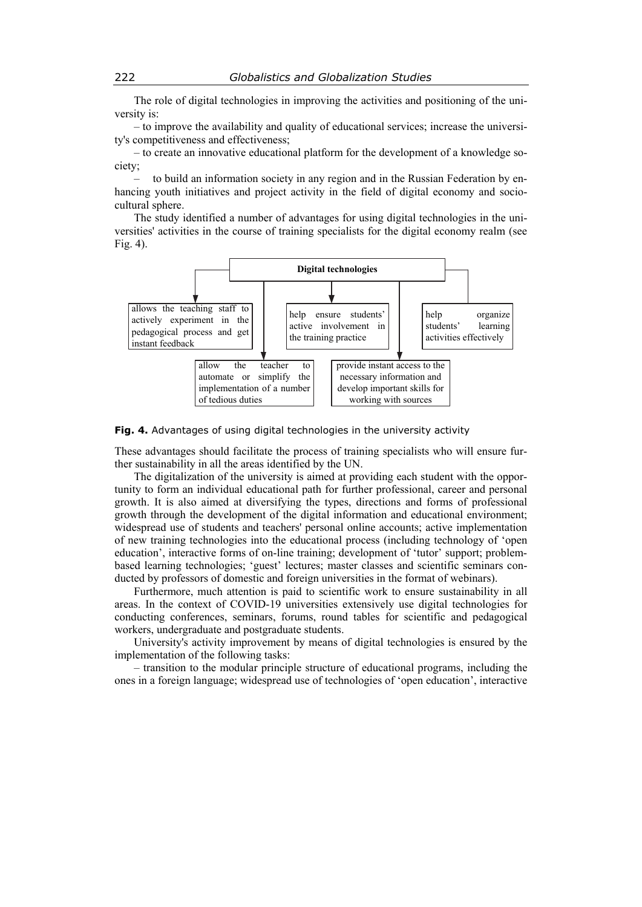The role of digital technologies in improving the activities and positioning of the university is:

– to improve the availability and quality of educational services; increase the university's competitiveness and effectiveness;

– to create an innovative educational platform for the development of a knowledge society;

– to build an information society in any region and in the Russian Federation by enhancing youth initiatives and project activity in the field of digital economy and sociocultural sphere.

The study identified a number of advantages for using digital technologies in the universities' activities in the course of training specialists for the digital economy realm (see Fig. 4).



#### **Fig. 4.** Advantages of using digital technologies in the university activity

These advantages should facilitate the process of training specialists who will ensure further sustainability in all the areas identified by the UN.

The digitalization of the university is aimed at providing each student with the opportunity to form an individual educational path for further professional, career and personal growth. It is also aimed at diversifying the types, directions and forms of professional growth through the development of the digital information and educational environment; widespread use of students and teachers' personal online accounts; active implementation of new training technologies into the educational process (including technology of 'open education', interactive forms of on-line training; development of 'tutor' support; problembased learning technologies; 'guest' lectures; master classes and scientific seminars conducted by professors of domestic and foreign universities in the format of webinars).

Furthermore, much attention is paid to scientific work to ensure sustainability in all areas. In the context of COVID-19 universities extensively use digital technologies for conducting conferences, seminars, forums, round tables for scientific and pedagogical workers, undergraduate and postgraduate students.

University's activity improvement by means of digital technologies is ensured by the implementation of the following tasks:

– transition to the modular principle structure of educational programs, including the ones in a foreign language; widespread use of technologies of 'open education', interactive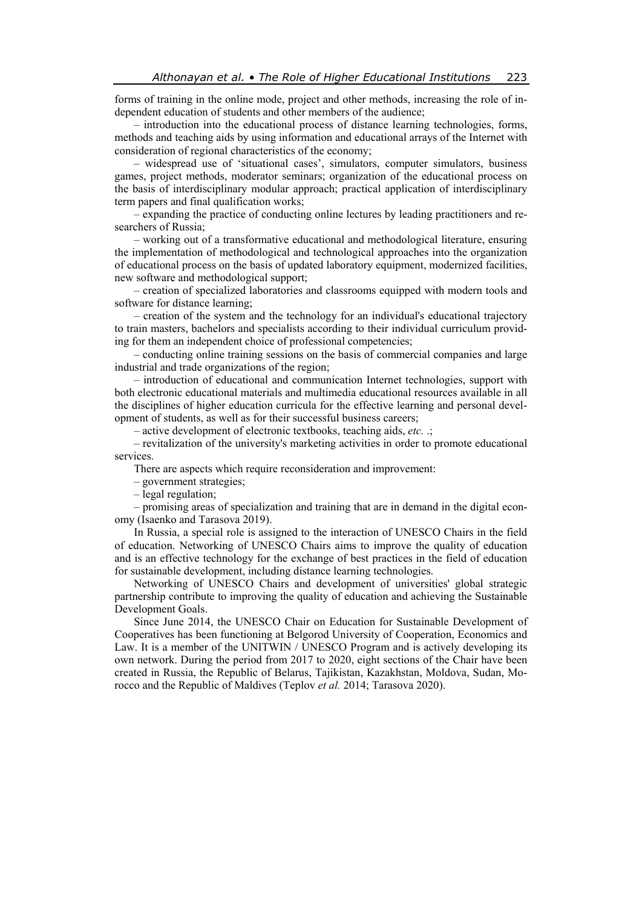forms of training in the online mode, project and other methods, increasing the role of independent education of students and other members of the audience;

– introduction into the educational process of distance learning technologies, forms, methods and teaching aids by using information and educational arrays of the Internet with consideration of regional characteristics of the economy;

– widespread use of 'situational cases', simulators, computer simulators, business games, project methods, moderator seminars; organization of the educational process on the basis of interdisciplinary modular approach; practical application of interdisciplinary term papers and final qualification works;

– expanding the practice of conducting online lectures by leading practitioners and researchers of Russia;

– working out of a transformative educational and methodological literature, ensuring the implementation of methodological and technological approaches into the organization of educational process on the basis of updated laboratory equipment, modernized facilities, new software and methodological support;

– creation of specialized laboratories and classrooms equipped with modern tools and software for distance learning;

– creation of the system and the technology for an individual's educational trajectory to train masters, bachelors and specialists according to their individual curriculum providing for them an independent choice of professional competencies;

– conducting online training sessions on the basis of commercial companies and large industrial and trade organizations of the region;

– introduction of educational and communication Internet technologies, support with both electronic educational materials and multimedia educational resources available in all the disciplines of higher education curricula for the effective learning and personal development of students, as well as for their successful business careers;

– active development of electronic textbooks, teaching aids, *etc.* .;

– revitalization of the university's marketing activities in order to promote educational services.

There are aspects which require reconsideration and improvement:

– government strategies;

– legal regulation;

– promising areas of specialization and training that are in demand in the digital economy (Isaenko and Tarasova 2019).

In Russia, a special role is assigned to the interaction of UNESCO Chairs in the field of education. Networking of UNESCO Chairs aims to improve the quality of education and is an effective technology for the exchange of best practices in the field of education for sustainable development, including distance learning technologies.

Networking of UNESCO Chairs and development of universities' global strategic partnership contribute to improving the quality of education and achieving the Sustainable Development Goals.

Since June 2014, the UNESCO Chair on Education for Sustainable Development of Cooperatives has been functioning at Belgorod University of Cooperation, Economics and Law. It is a member of the UNITWIN / UNESCO Program and is actively developing its own network. During the period from 2017 to 2020, eight sections of the Chair have been created in Russia, the Republic of Belarus, Tajikistan, Kazakhstan, Moldova, Sudan, Morocco and the Republic of Maldives (Teplov *et al.* 2014; Tarasova 2020).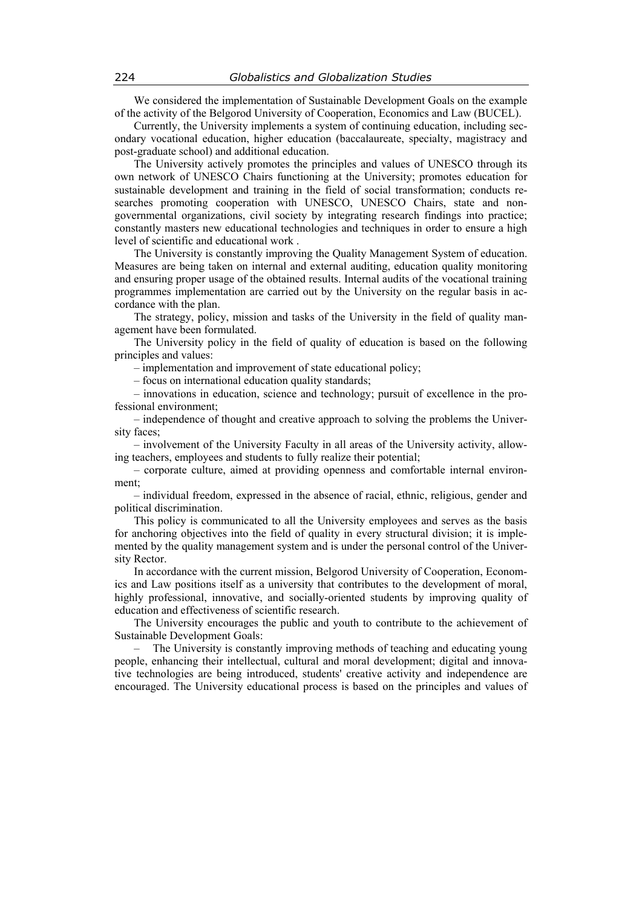We considered the implementation of Sustainable Development Goals on the example of the activity of the Belgorod University of Cooperation, Economics and Law (BUCEL).

Currently, the University implements a system of continuing education, including secondary vocational education, higher education (baccalaureate, specialty, magistracy and post-graduate school) and additional education.

The University actively promotes the principles and values of UNESCO through its own network of UNESCO Chairs functioning at the University; promotes education for sustainable development and training in the field of social transformation; conducts researches promoting cooperation with UNESCO, UNESCO Chairs, state and nongovernmental organizations, civil society by integrating research findings into practice; constantly masters new educational technologies and techniques in order to ensure a high level of scientific and educational work .

The University is constantly improving the Quality Management System of education. Measures are being taken on internal and external auditing, education quality monitoring and ensuring proper usage of the obtained results. Internal audits of the vocational training programmes implementation are carried out by the University on the regular basis in accordance with the plan.

The strategy, policy, mission and tasks of the University in the field of quality management have been formulated.

The University policy in the field of quality of education is based on the following principles and values:

– implementation and improvement of state educational policy;

– focus on international education quality standards;

– innovations in education, science and technology; pursuit of excellence in the professional environment;

– independence of thought and creative approach to solving the problems the University faces;

– involvement of the University Faculty in all areas of the University activity, allowing teachers, employees and students to fully realize their potential;

– corporate culture, aimed at providing openness and comfortable internal environment;

– individual freedom, expressed in the absence of racial, ethnic, religious, gender and political discrimination.

This policy is communicated to all the University employees and serves as the basis for anchoring objectives into the field of quality in every structural division; it is implemented by the quality management system and is under the personal control of the University Rector.

In accordance with the current mission, Belgorod University of Cooperation, Economics and Law positions itself as a university that contributes to the development of moral, highly professional, innovative, and socially-oriented students by improving quality of education and effectiveness of scientific research.

The University encourages the public and youth to contribute to the achievement of Sustainable Development Goals:

– The University is constantly improving methods of teaching and educating young people, enhancing their intellectual, cultural and moral development; digital and innovative technologies are being introduced, students' creative activity and independence are encouraged. The University educational process is based on the principles and values of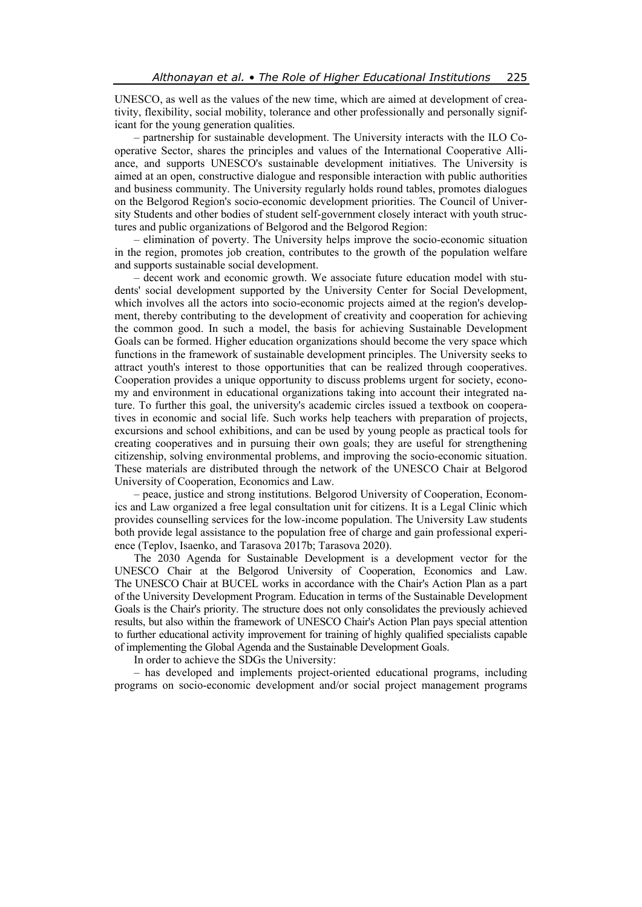UNESCO, as well as the values of the new time, which are aimed at development of creativity, flexibility, social mobility, tolerance and other professionally and personally significant for the young generation qualities.

– partnership for sustainable development. The University interacts with the ILO Cooperative Sector, shares the principles and values of the International Cooperative Alliance, and supports UNESCO's sustainable development initiatives. The University is aimed at an open, constructive dialogue and responsible interaction with public authorities and business community. The University regularly holds round tables, promotes dialogues on the Belgorod Region's socio-economic development priorities. The Council of University Students and other bodies of student self-government closely interact with youth structures and public organizations of Belgorod and the Belgorod Region:

– elimination of poverty. The University helps improve the socio-economic situation in the region, promotes job creation, contributes to the growth of the population welfare and supports sustainable social development.

– decent work and economic growth. We associate future education model with students' social development supported by the University Center for Social Development, which involves all the actors into socio-economic projects aimed at the region's development, thereby contributing to the development of creativity and cooperation for achieving the common good. In such a model, the basis for achieving Sustainable Development Goals can be formed. Higher education organizations should become the very space which functions in the framework of sustainable development principles. The University seeks to attract youth's interest to those opportunities that can be realized through cooperatives. Cooperation provides a unique opportunity to discuss problems urgent for society, economy and environment in educational organizations taking into account their integrated nature. To further this goal, the university's academic circles issued a textbook on cooperatives in economic and social life. Such works help teachers with preparation of projects, excursions and school exhibitions, and can be used by young people as practical tools for creating cooperatives and in pursuing their own goals; they are useful for strengthening citizenship, solving environmental problems, and improving the socio-economic situation. These materials are distributed through the network of the UNESCO Chair at Belgorod University of Cooperation, Economics and Law.

– peace, justice and strong institutions. Belgorod University of Cooperation, Economics and Law organized a free legal consultation unit for citizens. It is a Legal Clinic which provides counselling services for the low-income population. The University Law students both provide legal assistance to the population free of charge and gain professional experience (Teplov, Isaenko, and Tarasova 2017b; Tarasova 2020).

The 2030 Agenda for Sustainable Development is a development vector for the UNESCO Chair at the Belgorod University of Cooperation, Economics and Law. The UNESCO Chair at BUCEL works in accordance with the Chair's Action Plan as a part of the University Development Program. Education in terms of the Sustainable Development Goals is the Chair's priority. The structure does not only consolidates the previously achieved results, but also within the framework of UNESCO Chair's Action Plan pays special attention to further educational activity improvement for training of highly qualified specialists capable of implementing the Global Agenda and the Sustainable Development Goals.

In order to achieve the SDGs the University:

– has developed and implements project-oriented educational programs, including programs on socio-economic development and/or social project management programs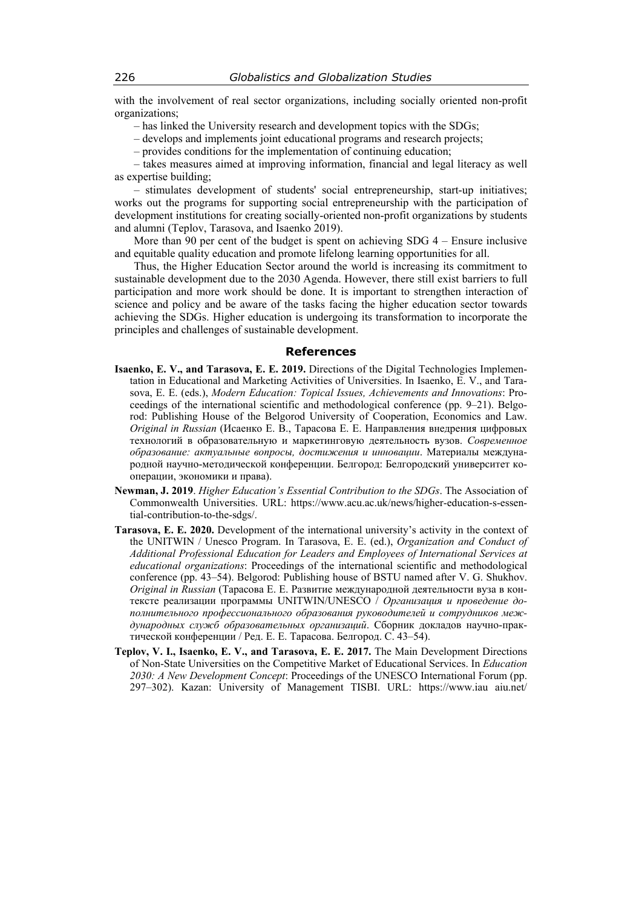with the involvement of real sector organizations, including socially oriented non-profit organizations;

- has linked the University research and development topics with the SDGs;
- develops and implements joint educational programs and research projects;
- provides conditions for the implementation of continuing education;

– takes measures aimed at improving information, financial and legal literacy as well as expertise building;

– stimulates development of students' social entrepreneurship, start-up initiatives; works out the programs for supporting social entrepreneurship with the participation of development institutions for creating socially-oriented non-profit organizations by students and alumni (Teplov, Tarasova, and Isaenko 2019).

More than 90 per cent of the budget is spent on achieving SDG 4 – Ensure inclusive and equitable quality education and promote lifelong learning opportunities for all.

Thus, the Higher Education Sector around the world is increasing its commitment to sustainable development due to the 2030 Agenda. However, there still exist barriers to full participation and more work should be done. It is important to strengthen interaction of science and policy and be aware of the tasks facing the higher education sector towards achieving the SDGs. Higher education is undergoing its transformation to incorporate the principles and challenges of sustainable development.

#### **References**

- **Isaenko, E. V., and Tarasova, E. E. 2019.** Directions of the Digital Technologies Implementation in Educational and Marketing Activities of Universities. In Isaenko, E. V., and Tarasova, E. E. (eds.), *Modern Education: Topical Issues, Achievements and Innovations*: Proceedings of the international scientific and methodological conference (pp. 9–21). Belgorod: Publishing House of the Belgorod University of Cooperation, Economics and Law. *Original in Russian* (Исаенко Е. В., Тарасова Е. Е. Направления внедрения цифровых технологий в образовательную и маркетинговую деятельность вузов. *Современное образование: актуальные вопросы, достижения и инновации*. Материалы международной научно-методической конференции. Белгород: Белгородский университет кооперации, экономики и права).
- **Newman, J. 2019**. *Higher Education's Essential Contribution to the SDGs*. The Association of Commonwealth Universities. URL: https://www.acu.ac.uk/news/higher-education-s-essential-contribution-to-the-sdgs/.
- **Tarasova, E. E. 2020.** Development of the international university's activity in the context of the UNITWIN / Unesco Program. In Tarasova, E. E. (ed.), *Organization and Conduct of Additional Professional Education for Leaders and Employees of International Services at educational organizations*: Proceedings of the international scientific and methodological conference (pp. 43–54). Belgorod: Publishing house of BSTU named after V. G. Shukhov. *Original in Russian* (Тарасова Е. Е. Развитие международной деятельности вуза в контексте реализации программы UNITWIN/UNESCO / *Организация и проведение дополнительного профессионального образования руководителей и сотрудников международных служб образовательных организаций*. Сборник докладов научно-практической конференции / Ред. Е. Е. Тарасова. Белгород. С. 43–54).
- **Teplov, V. I., Isaenko, E. V., and Tarasova, E. E. 2017.** The Main Development Directions of Non-State Universities on the Competitive Market of Educational Services. In *Education 2030: A New Development Concept*: Proceedings of the UNESCO International Forum (pp. 297–302). Kazan: University of Management TISBI. URL: https://www.iau aiu.net/